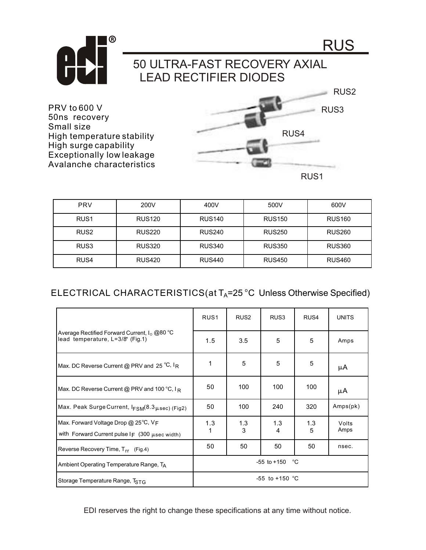

## 50 ULTRA-FAST RECOVERY AXIAL LEAD RECTIFIER DIODES

PRV to 600 V 50ns recovery Small size High temperature stability High surge capability Exceptionally low leakage Avalanche characteristics



RUS

| <b>PRV</b>       | 200V          | 400V          | 500V          | 600V          |
|------------------|---------------|---------------|---------------|---------------|
| RUS <sub>1</sub> | <b>RUS120</b> | <b>RUS140</b> | <b>RUS150</b> | <b>RUS160</b> |
| RUS <sub>2</sub> | <b>RUS220</b> | <b>RUS240</b> | <b>RUS250</b> | <b>RUS260</b> |
| RUS3             | <b>RUS320</b> | <b>RUS340</b> | <b>RUS350</b> | <b>RUS360</b> |
| RUS4             | <b>RUS420</b> | <b>RUS440</b> | <b>RUS450</b> | <b>RUS460</b> |

## ELECTRICAL CHARACTERISTICS(at  $T_A = 25$  °C Unless Otherwise Specified)

|                                                                                               | RUS <sub>1</sub>      | RUS <sub>2</sub> | RUS3     | RUS4     | <b>UNITS</b>  |
|-----------------------------------------------------------------------------------------------|-----------------------|------------------|----------|----------|---------------|
| Average Rectified Forward Current, $I_0$ @80 °C<br>lead temperature, L=3/8" (Fig.1)           | 1.5                   | 3.5              | 5        | 5        | Amps          |
| Max. DC Reverse Current @ PRV and 25 °C, $I_R$                                                |                       | 5                | 5        | 5        | μA            |
| Max. DC Reverse Current @ PRV and 100 °C, $I_R$                                               | 50                    | 100              | 100      | 100      | μA            |
| Max. Peak Surge Current, I <sub>FSM</sub> (8.3 µsec) (Fig2)                                   | 50                    | 100              | 240      | 320      | Amps(pk)      |
| Max. Forward Voltage Drop @ 25°C, VF<br>with Forward Current pulse $IF$ (300 $\mu$ sec width) | 1.3                   | 1.3<br>3         | 1.3<br>4 | 1.3<br>5 | Volts<br>Amps |
| Reverse Recovery Time, $T_{rr}$ (Fig.4)                                                       | 50                    | 50               | 50       | 50       | nsec.         |
| Ambient Operating Temperature Range, TA                                                       | $-55$ to $+150$<br>°€ |                  |          |          |               |
| Storage Temperature Range, TSTG                                                               | $-55$ to $+150$ °C    |                  |          |          |               |

EDI reserves the right to change these specifications at any time without notice.